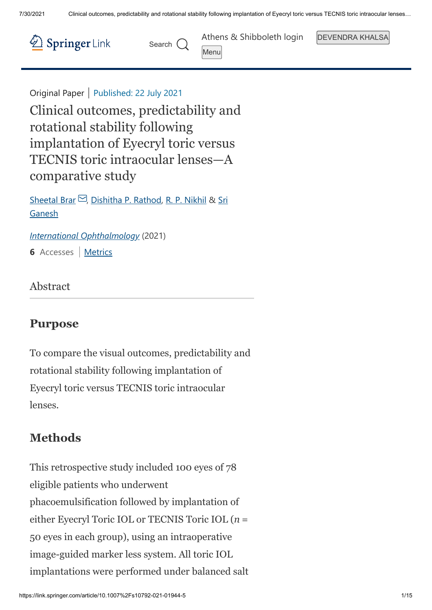Menu



Search  $\bigcap$ 

[Athens & Shibboleth login](https://wayf.springernature.com/?redirect_uri=https%3A%2F%2Flink.springer.com%2Farticle%2F10.1007%2Fs10792-021-01944-5) | DEVENDRA KHALSA

Original Paper | Published: 22 July 2021

Clinical outcomes, predictability and rotational stability following implantation of Eyecryl toric versus TECNIS toric intraocular lenses—A comparative study

Sheetal Brar  $\Box$ , Dishitha P. Rathod, R. P. Nikhil & Sri Ganesh

*[International Ophthalmology](https://link.springer.com/journal/10792)* (2021)

**6** Accesses | [Metrics](https://link.springer.com/article/10.1007%2Fs10792-021-01944-5/metrics)

Abstract

## **Purpose**

To compare the visual outcomes, predictability and rotational stability following implantation of Eyecryl toric versus TECNIS toric intraocular lenses.

## **Methods**

This retrospective study included 100 eyes of 78 eligible patients who underwent phacoemulsification followed by implantation of either Eyecryl Toric IOL or TECNIS Toric IOL (*n* = 50 eyes in each group), using an intraoperative image-guided marker less system. All toric IOL implantations were performed under balanced salt